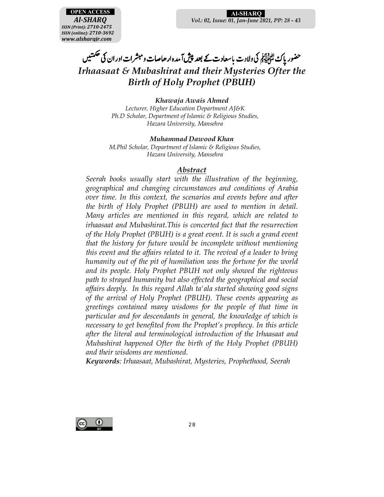**OPEN ACCESS** *Al-SHARQ ISSN (Print): 2710-2475 ISSN (online): 2710-3692 www.alsharqjr.com*

#### **Al-SHARQ**S *Vol.: 02, Issue: 01, Jan-June 2021, PP: 28 - 43*

حضور پاڪ ڪُپُائِرِ کِمُ ولادت باسعادت  $\overline{a}$ ئى ولادت باسعادت کے بعد پپش آمدہ ار حاصات ومبشرات اور ان کی <sup>حکمتی</sup>ں  $\ddot{\phantom{0}}$ و مبشرات اور ان کی حکمتیں *Irhaasaat & Mubashirat and their Mysteries Ofter the Birth of Holy Prophet (PBUH)* 

*Khawaja Awais Ahmed* 

*Lecturer, Higher Education Department AJ&K Ph.D Scholar, Department of Islamic & Religious Studies, Hazara University, Mansehra* 

#### *Muhammad Dawood Khan*

*M.Phil Scholar, Department of Islamic & Religious Studies, Hazara University, Mansehra* 

### *Abstract*

*Seerah books usually start with the illustration of the beginning, geographical and changing circumstances and conditions of Arabia over time. In this context, the scenarios and events before and after the birth of Holy Prophet (PBUH) are used to mention in detail. Many articles are mentioned in this regard, which are related to irhaasaat and Mubashirat.This is concerted fact that the resurrection of the Holy Prophet (PBUH) is a great event. It is such a grand event that the history for future would be incomplete without mentioning this event and the affairs related to it. The revival of a leader to bring humanity out of the pit of humiliation was the fortune for the world and its people. Holy Prophet PBUH not only showed the righteous path to strayed humanity but also effected the geographical and social affairs deeply. In this regard Allah ta'ala started showing good signs of the arrival of Holy Prophet (PBUH). These events appearing as greetings contained many wisdoms for the people of that time in particular and for descendants in general, the knowledge of which is necessary to get benefited from the Prophet's prophecy. In this article after the literal and terminological introduction of the Irhaasaat and Mubashirat happened Ofter the birth of the Holy Prophet (PBUH) and their wisdoms are mentioned.* 

*Keywords: Irhaasaat, Mubashirat, Mysteries, Prophethood, Seerah* 

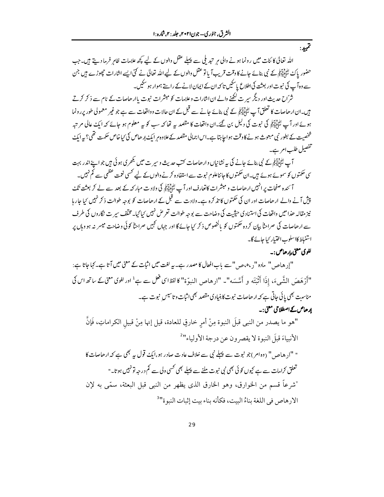اللہ تعالیٰ کا ئنات میں رونما ہونے والی ہر تبدیلی سے پہلے عقل والوں کے لیے کچھ علامات ظاہر فرما دیتے ہیں۔جب حضور پاک لٹائلاتی کے نبی بنائے جانے کا وقت قریب آ یا تو عقل والوں کے لیے اللہ تعالیٰ نے کئی ایسے انثارات حچھوڑے ہیں جن <sub>ے وہ</sub> آپ کی نبوت اور بعثت کی اطلاع یا سکیں تا کہ ان کے ایمان لانے کے راستے ہموار ہو سکیں۔

شرّاح حدیث اور دیگر سپر ت لکھنے والے ان اشارات وعلامات کو مبشرات نبوت باارھاصات کے نام سے ذ کر کرتے ہیں۔ان ارھاصات کا تعلق آپ ﷺ کے نبی بنائے جانے سے قبل کے ان حالات وواقعات سے ہے جو غیر معمولی طور پررونما ہوئے اور آپ لٹنڈا آبکی کی نبوت کی دلیل بن گئے۔ان واقعات کا مقصد ہے تھا کہ سب کو بیہ معلوم ہو جائے کہ ایک عالی مرتبہ شخصیت کے بطور <sup>ن</sup>ی مبعوث ہونے کاوقت ہوا جاہتا ہے۔اس اجمالی مقصد کے علاوہ م ایک <sub>ا</sub>ر حاص کی <sup>ب</sup>ماخاص حکمت تھی؟ یہ ایک تفصيل طلب امر ہے۔

آ بے اتّٰہ اٰآپِہِ کے نبی بنائے جانے کی یہ نشانیاں وار ھاصات کتب حدیث و سیر ت میں کبھر کی ہو کی ہیں جو اپنے اندر بہت سی حکمتوں کو سموئے ہوئے ہیں۔ان حکمتوں کا جانناعلوم نبوت سے استفادہ کرنے والوں کے لیے کسی نعمت عظمی سے کم نہیں۔ آ ئندہ صفحات پر انہیں ارھاصات و مبشرات کاتعارف اور آپ لٹی ایک انگری ولادت مبار کہ کے بعد سے لے کر بعثت تک

پیش آنے والے ارھاصات اور ان کی حکمتوں کا تذ کرہ ہے۔ولادت سے قبل کے ارھاصات کو بوجہ طوالت ذکر نہیں کیا جار ہا نیز مقالہ حذا میں واقعات کی استناد کی حیثیت کی وضاحت سے بوجہ طوالت تعر میں نہیں کیا گیا۔مخلف سیر ت نگاروں کی طرف سے ارھاصات کی صراحناً بیان کردہ حکمتوں کو پالخصوص ذکر <sup>ر</sup>یا جائے گا اور جہاں کہیں صراحناً کوئی وضاحت میسر بنہ ہو وہاں پر استنباط كااسلوب اختيار كباحائے گا۔

## لغوي معني،إرھاص:۔

تمهد:

"إر هاص" ماده "<sub>د</sub>، ٥،ص" سے باب افعال کا مصدر ہے۔ یہ لغت میں اثبات کے معنی میں آتا ہے۔ کہا جاتا ہے: "أَرْهَصَ الشَّمِيءَ، إِذَا أَثْبَتَه و أَسَّسَه"۔ "ارهاص النبوّة" كالفظاى فعل سے ہے<sup>1</sup> اور لغوى معنى كے ساتھ اس كى مناست بھی پائی جاتی ہے کہ ارھاصات نبوت کابنیاد کی مقصد بھی اثبات و تاسیس نبوت ہے۔ ارحاص کے اصطلاحی معنی:۔

"هو ما يصدر من النبي قبلَ النبوة مِنْ أمرٍ خارقٍ للعادة، قيل إنها مِنْ قبيل الكراماتِ، فَإِنَّ الأنبياءَ قبلَ النبوة لا يقصر ون عن درجة الأولياء" " "ا<sub>(</sub> هاص " (ده امر )جو نبوت سے پہلے نبی سے خلاف عادت صادر ہو،ایک قول یہ بھی ہے کہ ارحاصات کا تعلق کرامات سے ہے کیوں کو ئی بھی نی نبوت ملنے سے پہلے بھی کسی ولی سے کم درجہ تو نہیں ہوتا۔" "شرعاً قسم من الخوارق، وهو الخارق الذي يظهر من النبي قبل البعثة، سمّي به لإن الإرهاص في اللغة بناءُ البيت، فكأنه بناء بيت إثبات النبوة"<sup>3</sup>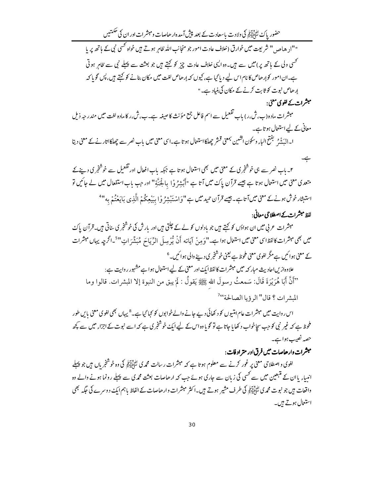حضور پاک لٹی ایکر کی ولادت باسعادت کے بعد پیش آمدہ ارھاصات ومبشرات اور ان کی حکمتیں "'ا<sub>له</sub> هاص<sub>د</sub> " شریعت میں خوارق (خلاف عادت امور جو منجانب اللہ ظاہر ہوتے ہیں خواہ <sup>کھی</sup>ں نبی کے ماتھ پر پا <sup>کھی</sup>ں ولی کے ہاتھ یر)میں سے ہ<sub>یں۔ وہ ا<sup>ل</sup>یں خلاف عادت چز کو کہتے ہیں جو بعثت سے پہلے نبی سے ظاہر ہوتی</sub> ہے۔ان امور کوإرھاص کا نام اس لیے دیا گیا ہے، کیوں کہ إرھاص لغت میں مکان بنانے کو کہتے ہیں، پس گو پاکہ ارھاص نبوت کو ثابت کرنے کے مکان کی بنیاد ہے۔"

مبشرات کے لغوی معنی:

ہے۔

مبشرات مادہ (ب، ش،ر) باب تفعیل سے اسم فاعل جمع مؤنث کا صیغہ ہے۔ب، ش،ر کامادہ لغت میں مندرجہ ذیل معانی کے لیے استعال ہوتا ہے۔

ا۔الیَشْہُ گَفِتح الباءِ وسکون اکشین بمعنی قشر چھلکااستعال ہو تا ہے۔اسی معنی میں باب نصر سے چھلکااتار نےکے معنی دیتا

- ۲۔ باب نصر سے ہی خوشخبری کے معنی میں بھی استعمال ہوتا ہے جبکہ باب افعال اور تفعیل سے خوشخبری دینے کے متعدی معنی میں استعال ہوتا ہے جیسے قرآن پاک میں آتا ہے "أَبْشِرُ وْ! بِالْجَنَّةِ" اور جب باب استفعال میں لے جائیں تو استبثار خوش ہونے کے معنی میں آتا ہے۔ جیسے قرآن حمید میں ہے "وَاسْتَبْشِرُوْا بِبَيْعِكُمْ الَّذِي بِاَيَعْتُمْ بِه"
	- لفظ مبشرات کے اصطلاحی معانی:

مبشرات عربی میں ان ہواؤں کو کہتے ہیں جو بادلوں کو لے کے چلتی ہیں اور بارش کی خوشخبر کی ساتی ہیں۔قرآن پاک میں بھی مبشرات کالفظا <sub>ک</sub>ی معنی میں استعال ہوا ہے۔"وَمِنْ آیَاته أَنْ یُّرْسِلَ الدِّیَاحَ مُبَشِّرَاتٍ"<sup>5</sup>\_اگرچہ یہاں مبشرات کے معنی ہوائیں ہےمگر لغوی معنی ملحظ سے یعنی خوشخبری دینے والی ہوائیں۔6 علاوہازیںاحادیث مبار کہ میں مبشرات کالفظامک اور معنی کے لیےاستعال ہواہے مشہور روایت ہے :

"أَنَّ أَبَا هُرَيْرَةَ قَالَ: سَمعتُ رسولَ الله ﷺ يَقولُ : لَمْ يبق من النبوة إلا المبشرات. قالوا وما المشر ات ؟ قال" الرؤيا الصالحة"

اس روایت میں مبشرات عام امتیوں کو د کھائی دیے جانے والے خوابوں کو کہا گیا ہے۔<sup>8</sup> یہاں بھی لغوی معنی پایں طور ملحوظ ہے کہ غیر نبی کو جب سجاخواب د کھایا جاتا ہے تو گو یا وہ اس کے لیے ایک خوشخبر کی ہے کہ اسے نبوت کے اجزاء میں سے کچھ حصہ نصیب ہواہے۔

# مبشرات دار هاصات میں فرق اور متر اد فات :

لغوی واصطلاحی معنی پر غور کرنے سے معلوم ہو تا ہے کہ مبشرات رسالت محمہ کی اﷺ کی وہ خوشخر پاں ہیں جو پہلے انیںا<sub>ء</sub> یا ان کے متبعین میں سے کسی کی زبان سے جاری ہوئے جب کہ ارھاصات بعثت محم**ر**ی سے پہلے رونما ہونے والے وہ واقعات ہیں جو نبوت محمہ کی لٹاؤلیٓ کی کے طرف مشیر ہوتے ہیں۔اکثر مبشرات وارھاصات کے الفاظ پاہم ایک دوسرے کی جگہ بھی استعال ہوتے ہیں۔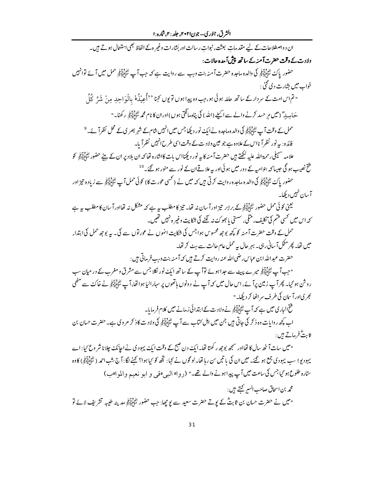ان د واصطلاحات کے لیے مقدمات بعثت، نبوات رسالت اور بَشارات وغیر ہ کے الفاظ بھی استعال ہوتے ہیں۔ ولادت کے وقت حضرت آمنہ کے ساتھ پیش آمدہ حالات : حضور پاک ﷺ کی والدہ ماجدہ حضرت آ منہ بنت وہب سے روایت ہے کہ جب آ ب ﷺ حمل میں آ ئے توانہیں خواب میں بشارت دی گئی : "تم اس امت کے سر دار کے ساتھ حاملہ ہوئی ہو،جب وہ پیدا ہوں تو یوں کہنا ''أُعِينْدُہٗ بالْوَاحِلِہ مِنْ شَرِّ كُلِّ حَامِداً ؓ (میں مر حسد کرنے والے سے اسلے (اللہ) کی پناہ مانگتی ہوں) اوران کا نام محمہ لِتَّأَيَّاتِي ركھنا۔" حمل کے وقت آ پ ﷺ کی والد ہ ماجدہ نے ایک نور دیکھا جس میں انہیں شام کے شہر بصر ی کے محل نظر آ <sub>ئے۔</sub> <sup>9</sup> فائدہ: یہ نور نظرآ نااس کے علاوہ ہے جو عین ولادت کے وقت اسی طرح انہیں نظرآ پا۔ علامہ سہمبلی رحمۃ اللہ علیہ لکھتے ہیں حضرت آمنہ کا یہ نور دیکھنااس بات کاانثارہ تھا کہ ان بلادیر ان کے بیٹے حضور لتأنيا اتنى كو فتح نصیب ہو گی جیسا کہ بنوامیہ کے دور میں ہو ئیااور یہ علاقےان کے نور سے منور ہو گئے۔ <sup>10</sup> حضور پاک سَپْئَ اِلِیکِمْ کی والد ہ ماجدہ روایت کرتی ہیں کہ میں نے ( کسی عورت کا) کوئی حمل آپ سِّئِ اِلِیَمْ بِے زیادہ تیز اور آسان نہیں دیکھا۔ یعنی کوئی حمل حضور لٹائلا ان بے برابر تیز اور آ سان نہ تھا۔ تیز کا مطلب یہ ہے کہ مشکل نہ تھااور آ سان کا مطلب یہ ہے کہ اس میں کسی قسم کی تکلیف، مثلی، سستی یا بھوکۓ نہ لگنے کی شکایت وغیر ہ نہیں تھیں۔ حمل کے وقت حضرت آمنہ کو کچھ پوچھ محسوس ہوا جس کی شکات انہوں نے عورتوں سے کی۔ یہ پوچھ حمل کی ابتداء میں تھا۔ پھر مکل آ سانی رہی۔ بہر حال <sub>سے</sub> حمل عام حالت سے ہٹ کر تھا۔ حضرت عبد الله ابن عباس رضي الله عنه روايت كرتے ہيں كہ آمنه بنت وبب فر ماتى ہيں : "جب آپ لٹا ایڈ ایئر میرے پیٹ سے جدا ہوئے توآپ کے ساتھ ایک نور نکلا جس سے مشرق و مغرب کے در میان سب ر وشن ہو گیا۔ پھر آپ زمین پرآ ئے، اس حال میں کہ آپ نے د ونوں ہاتھوں پر سہارالیا ہوا تھا، آپ لٹائلیؒ پی نے خاکء سے مٹھی کجریاورآ سان کی طرف سر اٹھا کر دیکھا۔" فتح الباري ميس ہے كہ آپ ﷺ نے ولادت كے ابتدائى زمانے ميں كلام فرمایا۔ اب کچھ روایات وہ ذکر کی جاتی ہیں جن میں اہل کتاب سے آپ ﷺ کی ولادت کاذ کر مر وی ہے۔ حضرت حسان بن ثابتٌ فرماتے ہیں : "میں سات آٹھ سال کا تھااور سمجھ بوجھ رکھتا تھا۔ ایک دن صبح کے وقت ایک یہودی نے اجانک چلا ناشر وع کیا: اے یہودیو! سب یہودی جمع ہو گئے۔ میں ان کی یا تیں س رہا تھا۔ لو گوں نے کہا: تجھ کو کیا ہوا؟ کہنے لگا: آج شب احمد ( لتُأَوَّلِيَّهُمْ ) کا وہ ستارہ طلوع ہو گیاجس کی ساعت میں آپ پیداہونے والے تھے۔" (روا<sup>ہ</sup> الب<sub>حی</sub> ہقی و ابو نعیم والموا<sup>ہ</sup>ب) محمه بن اسحاق صاحب السير كَتِيتے ہيں : "میں نے حضرت حسان بن ثابتؓ کے بوتے حضرت سعید سے یو چھا: جب حضور ﷺ مدینہ طیبیہ تشریف لائے تو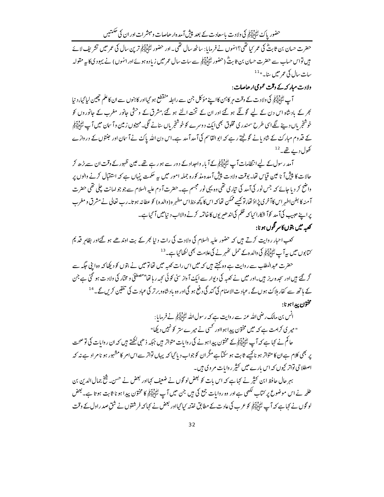حضور پاک لٹائِلِیہِ کی ولادت باسعادت کے بعد پیش آمدہ ارھاصات ومبشرات اور ان کی حکمتیں

حضرت حسان بن ثابتؓ کی عمر <sup>ہ</sup>یا تھی؟انہوں نے فرمایا : ساٹھ سال تھی۔اور حضور کٹا<u>ئیاتو</u> ترین سال کی عمر میں تشریف لائے میں تواس حساب سے حضرت حسان بن ثابتؓ (حضور لتّٰہُ لِکیٓلَہٰم سے سات سال عمر میں زیادہ ہوئے اور انہوں) نے یہود کی کا بیہ مقولہ سات سال کی عمر میں سا۔" <sup>11</sup>

ولادت مبار کی*ے وقت عم*ومی ارحاصات :

آپ ﷺ کی ولاد ت کے وقت مر کا ہن کااپنے مؤکل جن سے رابطہ منقطع ہو گیااور کا ہنوں سے ان کا علم چین لیا گیا، د نیا کجر کے بادشاہ اس دن کے لیے گوئگے ہو گئے اور ان کے تخت الٹے ہو گئے،مشرق کے وحشی جانور مغرب کے جانوروں کو خوشخریاں دینے لگےاسی طرح سمندری مخلوق بھی ایک دوسرے کو خوشخریاں بنانے گلی۔مہینوں زمین وآ سان میں آپ لٹاڈلائیل کے قدوم مبارکٹ کے شادیانے گونجتے رہے کہ ابوالقاسم کی آ مد آمد ہے۔اس دن اللہ پاکٹ نے آ سان اور حبنتوں کے دروازے کھول دیے تھے۔ $^{12}$ 

آمد رسول کے لیے انتظامات آپ لٹائلاتی کے آباء واحداد کے دور سے ہو رہے تھے۔عین ظہور کے وقت ان سے بڑھ کر حالات کا پیش آ ناعین قیاس تھا۔ بوقت ولادت پیش آمدہ مذ کورہ جملہ امور میں ہیے حکمت ینہاں ہے کہ استقبال کرنے والوں پر واضح کر دیا جائے کہ جس نور کیآ مد کی تیاری تھی وہ یہی نور مجسم ہے۔حضرت آ دم علیہ السلام سے جو جو امانت چلی تھی حضرت آمنہ کا بطن اطہر اس کاآخری پڑاؤ تھا، توکیے ممکن تھا کہ اس کا کچھ بخط اس مطہر ہ(والدہ) کو عطانہ ہو تا۔رب تعالی نے مشرق و مغرب یرایخ حبیب کیآ مد کوآ شکارا کباکہ ظلم کی اندھر یوں کاخاتمہ کرنے والااب د نیامیں آ گیاہے۔ كعبه ميں بتوں كاسر تگوں ہو نا:

کعب احبار روایت کرتے ہیں کہ حضور علیہ السلام کی ولادت کی رات د نیا کجر کے بت اوندھے ہو گئےاور بظاہر فتیہ کم کتابوں میں یہ آپ اﷺ کی والدہ کے حمل تھٰہر نے کی علامت بھی لکھا گیا ہے۔ <sup>13</sup>

حضرت عبدالمطلب سے روایت ہے وہ کہتے ہیں کہ میں اس رات کعبہ میں تھاتومیں نے بتوں کو دیکھا کہ وہ اپنی جگہ سے گر گئے' ہیں اور سجدہ ریز ہیں۔اور میں نے کعبہ کی دیوار سے ایک آ واز سنی کوئی کہہ رہا تھا"مصطفیٰ و مختار کی ولادت ہو گئی ہے جن کے ہاتھ سے کفار ہلاکۓ ہوں گے ،عمادت الاصنام کی گند گی د فع ہو گی اور وہ بادشاہ وبرتر کی عبادت کی تلقین کریں گے۔ <sup>14</sup> مختون پيداهو نا:

انس بن مالک رضی الله عنه سے روایت ہے کہ رسول الله ﷺ نے فرمایا: " میر کی کرامت ہے کہ میں مختون پیدا ہوااور کسی نے میر ے ستر کو نہیں دیکھا" حاکم نے کہا ہے کہ آپ ﷺ کے مختون پیدا ہونے کی روایات متواتر ہیں جبکہ ذھبی کھتے ہیں کہ ان روایات کی تو صحت پر بھی کلام ہےان کا متواتر ہو ناکیے ثابت ہو سکتاہے مگران کو جواب دیا گیا کہ یہاں تواتر سےاس امر کا مشہور ہو نا مراد ہے نہ کہ اصطلاحی تواتر کیوں کہ اس بارے میں کثیر روایات مر وی ہیں۔

بہر حال حافظ ابن کثیر نے کہا ہے کہ اس بات کو بعض لو گوں نے ضعیف کہااور بعض نے حسن۔ ﷺ جمال الدین بن طلحہ نے اس موضو*ع پر کت*اب لکھی ہے اور وہ روایات جمع کی ہیں جن میں آپ ﷺ کی مختون پیدا ہو نا ثابت ہو تا ہے۔ بعض لو گوں نے کہاہے کہ آپ ﷺ کو عرب کی عادت کے مطابق خذنہ کیا گیااور بعض نے کہا کہ فر شتوں نے شق صدر اول کے وقت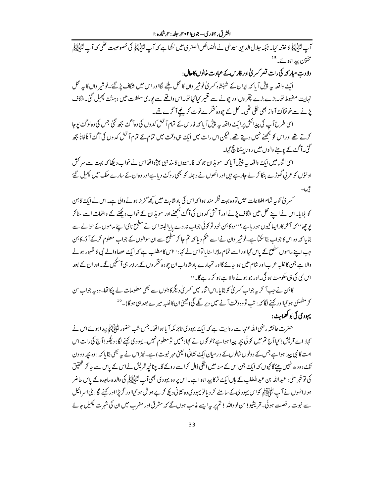الشرق، جنوري–جون۲۰۲۱، جلد : ۲.شاره :۱

مخت<sub>ون پیدا ہوئے۔</sub>15

ولادت مبار کہ کی رات قصر کسر م<sup>یٰ</sup> اور فارس کے عبادت خانوں کا حال :

ایک واقعہ سے پیش آ پا کہ ایران کے شہنشاہ کسر کی نوشیر واں کا محل ملنے لگااور اس میں شگاف پڑ گئے۔نوشیر واں کا ہے محل نہایت مضبوط تھا۔بڑے بڑے پتھر وں اور چونے سے تقمیر کیا گیا تھا۔اس واقعے سے یوری سلطنت میں دہشت پھیل گئی۔شگاف یڑنے سے خوفناک آواز بھی نکلی تھی۔محل کے چودہ کنگرے ٹوٹ کرپنچے آ گرے تھے۔

اسی طرح آپ کی پیدائش پر ایک واقعہ سے پیش آ پا کہ فار س کے تمام آتش کدوں کی وہ آگ بجھ گئی جس کی وہ لوگ بوحا کرتے تھے اور اس کو بحھنے نہیں دیتے تھے، لیکن اس رات میں ایک ہی وقت میں تمام کے تمام آتش کدوں کی آگۓ آ نأ فانأ بجھ گئ آ گئے کے یوجنے والوں میں رو ناپیٹنا گچ گیا۔

اسیااثنا، میں ایک داقعہ یہ پیش آ یا کہ مویذان جو کہ فارسیوں کامذ ہی پیشوا تھااس نے خواب دیکھا کہ بہت سے سر کش اونٹوں کو عربی گھوڑے ہنکا کر لے جارہے ہیں اور انھوں نے د جلہ کو بھی روکنے دیا ہے اور وہ ان کے سارے ملک میں پھیل گئے ٿيں۔

۔<br>سمبر ک<sup>ل</sup> کو یہ تمام اطلاعات ملیں تووہ بہت فکر مند ہوا کہ اس کی بادشاہت میں کچھ گڑبڑ ہونے والی ہے۔اس نے ایک کا<sup>ہ</sup>ن کو بلایا۔اس نے اپنے محل میں شگاف پڑنے اور آتش کدوں کی آگۓ بجھنے اور مو بذان کے خواب دیکھنے کے واقعات اسے ساکر یو جھا'' کہ آخر کار ایپا کیوں ہورہاہے؟''وہ کا<sup>ہ</sup>ن خود تو کوئی جواب نہ دے یا پاالیتہ اس نے سطیح نامی اپنے ماموں کے حوالے سے بتایا کہ وہ اس کاجواب بتاسکتا ہے۔نوشیر وان نے اسے حکم دیا کہ تم جا کر سطیع سے ان سوالوں کے جواب معلوم کر کے آ د<br>پتایا کہ وہ اس کاجواب بتاسکتا ہے۔نوشیر وان نے اسے حکم دیا کہ تم جا کر سطیع سے ان سوالوں کے جواب معلوم کر کے آ جب اپنے ماموں سطیح کے پاس گیااور اسے تمام ماجراسنایاتواس نے کہا: ''اس کامطلب ہے کہ ایک عصاوالے نبی کا ظہور ہونے والا ہے جن کاغلبہ عرب اور شام میں ہو جائے گااور تمہارے بادشاہ اب ان چودہ <sup>ر</sup>نگر وں کے برابر ہی آ سکیں گے۔اور ان کے بعد اس نبی کی ہی حکومت ہو گی۔اور جو ہونے والا ہے ہو کر رہے گا۔''

کائن نے جب آ کر یہ جواب کسر پی کو بتا یا ،اس اثنا<sub>ء</sub> میں کسر پی دیگر کاہنوں سے بھی معلومات لے چکا تھا۔وہ یہ جواب س کر مطمئن ہو گیااور کہنے لگا کہ : تب تو وہ وقت آنے میں دیر گئے گی ( یعنی ان کاغلبہ میرے بعد ہی ہو گا)۔ <sup>16</sup> یہود کی کی پو کھلاہٹ :

حضرت عائشہ رضی اللہ عنہا سے روایت ہے کہ ایک یہودی تاجر مکہ آ یا ہواتھا۔ جس شب حضور ﷺ پیدا ہوئے اس نے کہا: اے قریش ! کیاآ ج تم میں کوئی بچہ پیدا ہوا ہے؟لوگوں نے کہا: ہمیں تو معلوم نہیں۔ یہودی <sub>ک</sub>حنے لگا: دیکھو!آ ج کی رات اس امت کانبی پیداہواہے جس کے دونوں شانوں کے در میان ایک نشانی (کیجنی مہر نبوت) ہے۔ نیز اس نے یہ بھی بتایا کہ : وہ بچہ دودن تک دودھ نہیں پیئےگا کیوں کہ ایک جن اس کے منہ میں انگلیڈال کراسے روکے گا۔ چنانچہ تریش نے اس کے پاس سے جا کر تحقیق کی تو خبر ملی : عبداللہ بن عبدالمطلب کے ہاں ایک لڑکا پیدا ہو اہے۔اس پر وہ یہودی بھی آپ لٹائیاتی کی والدہ ماحدہ کے پاس حاضر ہوا،انہوں نے آپ لٹاٹالیکو کواس یہودی کے سامنے کر دیاتو یہودی وہ نشانی دیکھ کر بے ہوش ہو گیااور گریڑااور کہنے لگا: بنی اسرائیل سے نبوت رخصت ہوئی۔ قریشیو! س لوواللہ ! تم پر بیرا پسے غالب ہوں گے کہ مشرق اور مغرب میں ان کی شہرت پھیل جائے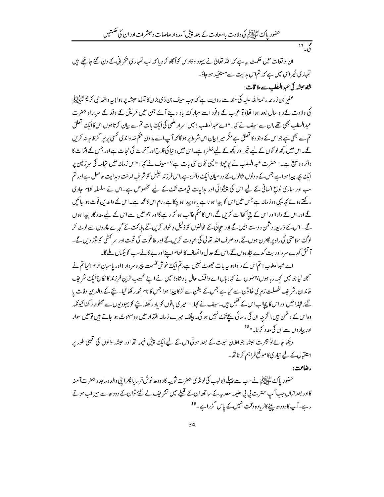حضور پاک لِتُبَايَّلِيَّهِمْ کی ولادت باسعادت کے بعد پیشِ آمدہ ارحاصات ومبشرات اور ان کی حکمتیں

 $17 \frac{2}{3}$ 

ان واقعات میں حکمت ہہ ہے کہ اللہ تعالیٰ نے یہود و فارس کوآگاہ کر دیا کہ اب تمہاری حکمرانی کے دن گئے جاچکے ہیں تمہار کی خیر اسی میں ہے کہ تم اس مدایت سے مستفید ہو جاؤ۔

شاہ حبشہ کی عبد المطلب سے ملا قات :

عفر بن زرعه رحمةالله عليه کې سند سے روايت ہے کہ جب سيف بن ذي يزن کا تسلط حبشہ پر ہوا( بہ واقعہ نبي کريم لَتَألِيَ تِي کی ولادت کے د و سال بعد ہوا تھا) تو عرب کے وفود اسے مبارکۓ یاد دینے آئے جن میں قریش کے وفد کے سربراہ حضرت عبدالمطلب بھی تھے،ان سے سیف نے کہا: "اے عبدالمطلب! میں اسرار علمی کی ایک بات تم سے بیان کرتا ہوں اس کاایک تعلق تم سے بھی ہے جواس کے وجود کا تعلق ہے مگر میرا بیان اس شرط پر ہو گا کہ آ پ اسے بدون حکم خدواند ی کسی پر ہر گزظاہر نہ کریں گے۔اس میں کچھ لو گوں کے لیے خیر اور کچھ کے لیے خطرہ ہے۔اس میں د نیا کی فلاح اورآخرت کی نجات ہےاور جس کے اثرات کا دائرہ وسیع ہے۔" حضرت عبد المطلب نے یو چھا: "ایپی کون سی بات ہے؟" سیف نے کہا: "اس زمانہ میں تہامہ کی سرزمین پر ایک بچہ پیدا ہواہے جس کے د ونوں شانوں کے در میان ایک دائرہ ہے،اس فرزند حلیل کو شر ف امانت وہدایت حاصل ہےاور تم سب اور ساری نوع انسانی کے لیے اس کی پیشوائی اور ہدایات قیامت تکٹ کے لیے مخصوص ہے۔اس نے سلسلہ کلام جاری ر گھتے ہوئے کہا یہی دہ زمانہ ہے جس میں اس کو پیدا ہو نا ہے یا وہ پیدا ہو چکا ہے، نام اس کامحمہ ہے۔اس کے والد ین فوت ہو جائیں گے اور اس کے دادااور اس کے چچا کفالت کریں گے ،اس کا حکم غالب ہو کر رہے گااور ہم میں سے اس کے لیے مد دگار پیدا ہوں گے۔ اس کے ذریعہ دشمن دوست بنیں گے اور سچائی کے مخالفوں کو ذلیل وخوار کریں گے،ہلاکت کے گہرے غاروں سے لوٹ کر لوگۓ سلامتی کی راہ پر گامزن ہوں گے، وہ صرف اللہ تعالی کی عبادت کریں گے اور طاغوت کی قوت اور سر کشی کو لوڑ دیں گے۔ آ تش کدے سر داور بت کدے نتاہ ہوں گے،اس کے عدل وانصاف کاانعام اپنےاور بے گانے سب کو بکیاں ملے گا۔

اے عبدالمطلب! تم اس کے دادا ہو یہ بات حجھوٹ نہیں ہے، تم ایک خوش قسمت پیر وسر دار!اور پاسبان حرم! کیا تم نے سمجھ لیا جو میں کہہ رہا ہوں؟انہوں نے کہا: ہاں اے واقف حال یاد شاہ!میں نے اپنے محبوب ترین فرزند کا نکاح ایک شریف خاندان، شریف خصلت زمر ی خاتون سے کیا ہے جس کے بطن سے لڑکا پیدا ہوا جس کا نام محمدر کھا گیا۔ بچے کے والدین وفات با گئے،لہٰذامیں اور اس کا چچااے اس کے کفیل ہیں۔سیف نے کہا: " میر کی باتوں کو یاد ر کھنا، بچے کو یہودیوں سے محفوظ ر کھنا کیونکہ وہ اس کے دشمن ہیں،اگرچہ ان کی رسائی بچے تک نہیں ہو گی۔ بیٹک میرے زمانہ اقتدار میں وہ مبعوث ہو جاتے ہیں تومیں سوار اورپیاد وں سے ان کی مدد کرتا۔"<sup>18</sup>

دیکھا جائے تو ہجرت حبشہ جو اعلان نبوت کے بعد ہوئی اس کے لیےایک پیش خیمہ تھااور حبشہ والوں کی قلبی طور پر استقبال کے لیے تیاری کا موقع فراہم کرنا تھا۔

رضاعت:

حضور پاک لٹائلیکو نے سب سے پہلے ابولہب کی لونڈ کی حضرت ثویبہ کا دودھ نوش فرمایا پھرا پنی والدہ ماحدہ حضرت آمنہ کااور بعد ازاں جب آپ حضرت بی بی حلیمہ سعد یہ کے ساتھ ان کے قبیلے میں تشریف لے گئے توان کے دودھ سے سیر اب ہوتے رہے۔آپ کادودھ پینے کازیادہ وقت انہیں کے پاس گزراہے۔<sup>19</sup>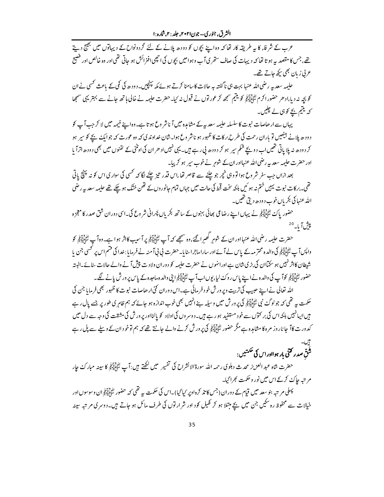الشرق، جنوري–جون۲۰۲۱، جلد : ۲.شاره :۱

عرب کے شرفاء کا ہہ طریقہ کار تھا کہ وہ اپنے بچوں کو دودھ پلانے کے لئے گردونواح کے دیہاتوں میں بھیج دیتے تھے ،جس کا مقصد یہ ہوتا تھا کہ دیہات کی صاف ستھر کیآ ب وہوامیں بچوں کی انچھی افنرائش ہو جاتی تھی اور وہ خالص اور فضيح ع بی زبان بھی پکھ جاتے تھے۔

حلیمہ سعد یہ رضی اللہ عنہا بہت ہی ناگفتہ یہ حالات کاسامنا کرتے ہوئے مکہ پہنچیں۔دودھ کی کمی کے باعث کسی نےان کو بچہ نہ دیا،ادھر حضورا کرم ﷺ کو یتیم سمجھ کر عورتوں نے قبول نہ کیا۔حضرت حلیمہ نے خالی ہاتھ جانے سے بہتر یہی سمجھا کہ یتیم بچے کوہی لے چلیں۔

یہاں سے ارھاصات نبوت کاسلسلہ حلیمہ سعد یہ کے مشاہدہ میں آ ناشر وع ہو تا ہے۔وہ اپنے خیمہ میں لا کر جب آپ کو دودھ پلانے بیٹھیں تو پاران رحمت کی طرح بر کات کا ظہور ہو ناشر وع ہوا۔شان غداوند کی کہ وہ عورت کہ جوایک بچے کو سپر ہو کر دودھ نہ پلا پاتی تھیں اب دو بچے شکم سپر ہو کر دودھ پی رہے ہیں۔ یہی نہیں ادھر ان کی اونٹنی کے تھنوں میں بھی دودھ اتراً با اور حضرت حلیمہ سعد یہ رضی اللہ عنہااور ان کے شوہر نے خوب سپر ہو کر پیا۔

بعد ازاں جب سفر شر وع ہوا تو وہی خچر جو چلنے سے قاصر تھا،اس قدر تیز چلنے لگا کہ <sup>کس</sup>ی کی سواری اس کو نہ پنچؓ پاتی تھی۔برکات نبوت پہیں ختم نہ ہو ئیں بلکہ سخت قحط کی حالت میں جہاں تمام حانور وں کے تھن خشک ہو چکے تھے حلیمہ سعد بہ رضی الله عنها کی بکر پاں خوب د ودھ دیتی تھیں۔

حضور پاک لٹائِلِیٓئِہٖ نے یہاں اپنے رضاعی بھائی بہنوں کے ساتھ بکریاں پَجرانی شروع کی۔اسی دوران شق صدر کا معجزہ پیش آبا۔<sup>20</sup>

حضرت حلیمہ رضی اللہ عنہااور ان کے شوہرِ گھبرا گئے،وہ سمجھے کہ آپ لٹائیاتیکی پر آسیب کااثر ہو ا ہے۔وہ آپ لٹائیاتیکی کو واپس آ پے اپنی ایک والدہ محتر مہ کے پاس لے آ ئے اور ساراماجراسنایا۔حفرت کی ٹی آمنہ نے فرمایا:خدا کی قسم اس پر کسی جن پا شیطان کانژ نہیں ہو سکتاان کی بڑی شان ہے اورائنوں نے حضرت حلیمہ کو دوران ولادت پیش آنے والے حالات سائے۔البتہ حضور لِتَأْزِيَةٍ کُو آپ کی والدہ نے اپنے پاس روک لیا، یوں اب آپ لَتَأْزِيَةٍ ابنی والدہ ماحدہ کے پاس پر ور ش پانے لگے۔

اللہ تعالی نے اپنے حبیب کی تربیت ویر ورش خود فرمائی ہے۔اس دوران کئی ارھاصات نبوت کا ظہور بھی فرمایا جن کی حکمت بہ تھی کہ جو لوگٹ نبی لٹائِلاَ آئی کی پرورش میں وسیلہ ہے انہیں بھی خوب اندازہ ہو جائے کہ ہم ظاہر ی طور پر جسے پال رہے ہیں ایپانہیں بلکہ اس کی بر کتوں سے خود مستفید ہو رہے ہیں۔دوسر وں کی اولاد کو پالنااور پرورش کی مشقت کی وجہ سے دل میں کدورت کاآ جا ناروز مرہ کا مثاہدہ ہےمگر حضور لٹا پالیج کی پرورش کرنے والے جانتے تھے کہ ہم توخود ان کے ویلے سے پل رہے

# شُقّ صدر کتنی بار ہواادراس کی حکمتیں :

حضرت شاہ عبد العزیز محدث دہلوی رحمہ اللہ سورۃ الانشراح کی تفسیر میں لکھتے ہیں :آپ ﷺ کا سینہ مبارک جار مرتبہ جاکۓ کرکے اس میں نور و حکمت کجراگیا۔ پہلی مرتبہ بنو سعد میں قیام کے دوران (جس کا تذکرہ اوپر کیا گیا)۔اس کی حکمت ہیے تھی کہ حضور لٹائلیں اُن وسوسوں اور

خیالات سے محفوظ رہ سکیں جن میں بچے مبتلا ہو کر کھیل کود اور شرارتوں کی طرف مائل ہو جاتے ہیں۔دوسری مرتبہ سینہ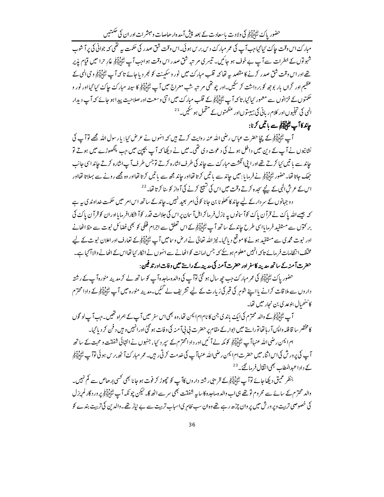حضور پاک لٹائِلِیہِ کی ولادت باسعادت کے بعد پیش آمدہ ارھاصات ومبشرات اور ان کی حکمتیں

مبار کءاس وقت حاک بمایجاجب آپ کی عمر مبارک د س بر س ہو ئی۔اس وقت شق صدر کی حکمت بیہ تھی کہ جوانی کی پر آ شوپ شہولوں کے خطرات سے آپ بے خوف ہو جائیں۔ تیسر کی مرتبہ شق صدر اس وقت ہو اجب آپ لٹنگالیکی غارِ حرا میں قیام پذیر تھے اور اس وقت شق صدر کرنے کا مقصد یہ تھا کہ قلب مبارکۓ میں نور وسکینت کو کجر دیا جائے تا کہ آپ ﷺ وحی الٰہی کے .<br>عظیم اور گراں بار بوجھ کو بر داشت کر سکیں۔اور چوتھی مر تبہ شب معراج میں آ پ<sup>الٹی</sup>نی ایکٹی کا سینہ مبارک جاک <sup>ک</sup>یا گیااور نور و حکمتوں کے خزانوں سے معمور کیا گیا، تا کہ آپ لٹایا آئی کے قلب مبار کۓ میں اتنی وسعت اور صلاحیت پیدا ہو جائے کہ آپ دیدار الٰہی کی تجلیوں اور کلام ریانی کی ہیبتوں اور عظمتوں کے متحمل ہو سکیں۔ <sup>21</sup>

# *چاند کا آپ لٹائلیآؤ سے باتیں کر*نا:

آپ ﷺ کے چچا حضرت عباس رضی اللہ عنہ روایت کرتے ہیں کہ انہوں نے عرض کیا: یا رسول اللہ مجھے لوآپ کی نشانیوں نے آپ کے دین میں داخل ہونے کی دعوت دی تھی۔میں نے دبکھا کہ آپ بچپن میں جب پنگھوڑے میں ہوتے تو جاند سے یا تیں <sup>ک</sup>یا کرتے تھےادرا پی انگشت مبارک سے جاند کی طرف اشارہ کرتے توجس طرف آپ اشارہ کرتے جاند اسی جانب حِھک جاتا تھا۔حضور لتّٰہُ اٰتِیۡمَٰی نے فرمایا: میں حاِند سے یا تیں کرتا تھااور جاند مجھ سے یا تیں کرتا تھااور وہ مجھے رونے سے بہلاتا تھااور اس کے عرش الٰہی کے نیحے سحدہ کرتے وقت میں اس کی شیبیج کرنے کی آ واز کو بنا کرتا تھا۔ <sup>22</sup>

د و جہانوں کے سر دارکے لیے جاند کا کھلو نا بن جانا کوئی امر بعید نہیں۔جاند کے ساتھ اس امر میں حکمت خداوند کی ہیے كە جیسے اللہ پاك نے قرآن پاك كوآ سانوں پہ نازل فرما كراہلاً سان پراس كى جلالت قدر كوآ شكارافرمايااوران كو قرآن پاك كى بر کوں سے مستفید فرمایااسی طرح جاند کے ساتھ آپ لٹائیلیج کے اس تعلق سے اجرام فلکی کو بھی فضائل نبوت سے حظ اٹھانے اور نبوت محمہ ک سے مستفید ہونے کا موقع دیا گیا۔ نیز اللہ تعالیٰ نے ارض وسامیں آپ لٹی ایکوایکو کے قعارف اور اعلان نبوت کے لیے مخلّف انتظامات فرمائے تاکہ انہیں معلوم ہونے کہ جس امانت کواٹھانے سے انہوں نے انکار کیا تھااس کے اٹھانے والاآ گیا ہے۔ حضرت آمنہ کے ساتھ مدینہ کاسفر اور حضرت آمنہ کی مدینہ کے راستے میں وفات اور تد فین :

حضور پاک ﷺ کی عمر مبارک جب حیر سال ہو گئی توآ پ کی دالد ہ ماحدہ آپ کو ساتھ لے کر مدینہ منورہ آپ کے رشتہ داروں سے ملا قات کرانے پااپنے شوہر کی قبر کی زیارت کے لیے تشریف لے گئیں۔مدینہ منورہ میں آپ لٹا ایکرایل کے دادا محترم كاننھىال بنوعد كى بن نجار ميں تھا۔

آپ لٹوکیلی کے والد محترم کی ایک باندی جن کا نام ام ایمن تھا،وہ بھی اس سفر میں آپ کے ہمراہ تھیں۔جب آپ لو گوں کا مختصر سا قافلہ واپس آ ر ہاتھاتورا ستے میں ابوا<sub>ء</sub> کے مقام پر حضرت پی پی آ منہ کی وفات ہو گئی اور انہیں و ہیں د فن کر دیا گیا۔

ام ایمن رضی اللہ عنہاآ پے اتّٰہُ ایٓ کو مکہ لے آئیں اور داد امحترم کے سیر دیما، جنہوں نے انتہائی شفقت و محبت کے ساتھ آپ کی پر ورش کی اس اثناء میں حضرت ام ایمن رضی اللہ عنہاآپ کی خدمت کرتی ر ہیں۔عمر مبارکء آٹھ بر س ہو ئی توآپ لٹائی آپٹی کے داداعبدالمطلب بھی انقال فرما گئے۔ <sup>23</sup>

بنظر عمیق دیکھاجائے توآپ لٹائا<u>لی</u>کوکے قریبی رشتہ داروں کاآپ کو چھوڑ کر فوت ہو جانا بھی کسی <sub>ا</sub>رھاص سے کم نہیں۔ والد محترم کے سائے سے محروم تو تھے ہی اب والدہ ماجدہ کاسا ہیہ شفقت بھی سر سے اٹھ گا۔لیکن چونکہ آپ لٹائی آئی پر ور دگار لم پزل کی خصوصی تربیت ویر ورش میں پر وان چڑھ رہے تھے وہ ان سب ظاہر کیا سباب تربیت سے بے نیاز تھے۔ والدین کی تربیت بندے کو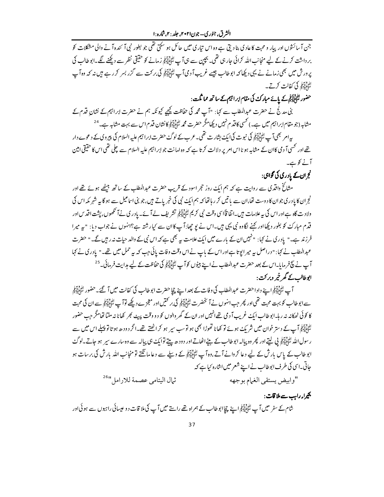جن آ سائشوں اور پیار و محبت کا عاد کی بنا دیتی ہے وہ اس تیاری میں حائل ہو سکتی تھی جو بطور نبی آ ئندہ آ نے والی مشکلات کو بر داشت کرنے کے لیے منجانب اللہ کرائی جارہی تھی۔ بچپن سے ہی آپ اﷺ زمانے کو حقیقی نظر سے دیکھنے لگے۔ابوطالب کی یرورش میں بھی زمانے نے یہی دیکھا کہ ابوطالب جیسے غریب آ دی آپ اﷺ کی برکت سے گزر بسر کر رہے ہیں نہ کہ وہ آپ الله وسلم في كفالت كرتے۔

حضور لِتَأْمِلَيْتِهِمْ کے پائے مبارک کی مقام ابراہیم کے ساتھ مما ثُلت:

بنی مدیج نے حضرت عبدالمطلب سے کہا: "آپ محمہ کی حفاظت کیچیے کیونکہ ہم نے حضرت ابراہیم کے نشانِ قدم کے مشابہ (جو مقام ابراہیم میں ہے۔) کسی کا قدم نہیں دیکھامگر حضرت محمہ لٹپنی آپکی کانشان قدم اس سے بہت مشابہ ہے۔<sup>24</sup>

بیہ امر بھی آپ لٹائلینی کی نبوت کی ایک بشارت تھی۔ عرب کے لوگۓ حضرت ابراہیم علیہ السلام کی پیروی کے دعوے دار تھے اور کسی آ دمی کاان کے مشابہ ہو نااس امریر دلالت کرتا ہے کہ وہ امانت جو ابراہیم علیہ السلام سے چلی تھی اس کا حقیقی امین آنے کو ہے۔

نج ان کے یادری کی گواہی:

مثائخ واقدی سے روایت ہے کہ ہم ایک روز حجر اسود کے قریب حضرت عبدالمطلب کے ساتھ بیٹھے ہوئے تھے اور .<br>نجران کا یادر کی جوان کادوست تھا،ان سے باتیں کر رہا تھا کہ ہم ایک نبی کی خبر یاتے ہیں،جو بنی اساعیل سے ہو گا ہہ شہر مکہ اس کی ولادت گاہ ہےاور اس کی ہہ علامات میں۔اتفا قاًاسی وقت نبی کریم لٹائلیکو تشریف لے آ ئے۔ یادری نےآ تکھوں، پشت اقد س اور قدم مبارک کو بغور دبکھااور کہنے لگا دہ نبی یہی ہیں۔اس نے یو چھا:آپ کاان سے کیارشتہ ہے؟انہوں نے جواب دیا: "پہ میرا فرزند ہے۔" یادری نے کہا: "نہیں ان کے بارے میں ایک علامت یہ بھی ہے کہ اس نبی کے والد حیات نہ رہیں گے۔" حضرت عبدالمطلب نے کہا: " دراصل ہیر میر ایوتا ہےاور اس کے پاپ نے اس وقت وفات پائی جب کہ بیہ حمل میں تھے۔" پادری نے کہا آپ نے پیج فرمایا۔اس کے بعد حضرت عبدالمطلب نے اپنے بیٹوں کوآپ لٹانایہ کی حفاظت کے لیے مدایت فرمائی۔<sup>25</sup> ابوطالب کے گھر خمر وبرکت :

آپ لٹاؤلیکوا ہے دادا حضرت عبدالمطلب کی وفات کے بعد اپنے چیا حضرت ابوطالب کی کفالت میں آ گئے۔ حضور لٹاؤلیکولی سے ابوطالب کو بہت محبت تھی اور پھر جب انہوں نے آ نخضرت لٹائلی آر کی بر کمیں اور معجزے دیکھے توآ پ لٹائلی آرکی ہے ان کی محبت کا کوئی ٹھکانہ نہ رہا۔ابوطالب ایک غریب آ د می تھےانہیں اور ان کے گھر والوں کو دو وقت پیٹ بھر کھانا نہ ملتا تھامگر جب حضور الڈویو آپ کے دستر خوان میں شریک ہوئے تو کھانا تھوڑا بھی ہو توسب سپر ہو کراٹھتے تھے۔اگر دودھ ہو تا تو پہلے اس میں سے رسول اللہ لَتَّاْلِآ بِلِي لِيتِے اور پھر وہ پیالہ ابوطالب کے بیٹے اٹھاتے اور دودھ پیتے توایک ہی پیالہ سے وہ سارے سپر ہو جاتے۔لوگ ابو طالب کے پاس بارش کے لیے دعا کروانے آتے،وہ آپ اتّٰہ اَ آیکھا کے ویلے سے دعا ما نگتے تو منجانب اللہ بارش کی برسات ہو جاتی۔اسی کی طرف ابوطالب نے اپنے شعر میں اشارہ <sup>ر</sup>یا ہے کہ

ثمال اليتامي عصمة للارامل ال<sup>26</sup>" "وابيض يستقى الغمام بوجهه

بحیرا<sub>ء</sub> راہب سے ملا قات :

شام کے سفر میں آپ لٹائِلِیٓبیۡم اپنے پچاابوطالب کے ہمراہ تھے راستے میں آپ کی ملا قات دو عیسائی راہوں سے ہوئی اور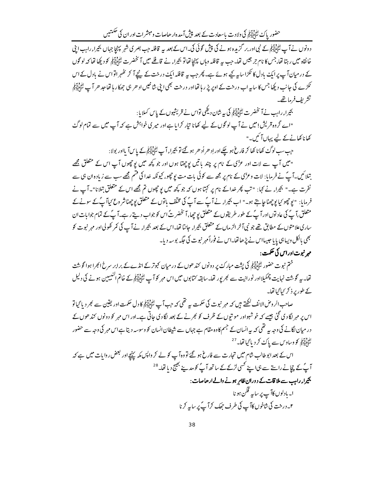حضور پاک لٹائلیہ کی گی ولادت پاسعادت کے بعد پیش آمدہ ارھاصات ومبشرات اور ان کی حکمتیں

د ونوں نے آپ لٹائپائیل کے نپی اور بر گزیدہ ہونے کی پیش گوئی کی۔اس کے بعد پہ قافلہ جب بصر ی شہر پہنچا جہاں بھیراء راہب اپنی خانقاہ میں رہتا تھا،جس کا نام جر جیس تھا۔جب سے قافلہ وہاں پہنچا تھاتو بھراء نے قافلے میں آ نخضرت لٹاپائیکو کو دیکھا تھا کہ لو گوں کے در میان آپ پر ایک بادل کا ٹکڑاسا ہہ کیے ہوئے ہے۔ پھر جب یہ قافلہ ایک درخت کے نیچے آ کر تھٰہر اتواس نے بادل کے اس عکڑے کی جانب دیکھا جس کا ساریہ اب درخت کے اوپر پڑ رہا تھااور درخت بھی اپنی شاخیں اد حر ہی جھکا رہا تھا جد حر آپ لٹائیاتیني تشريف فرماتھے۔

بحيراء رابب نے آنخضرت لٹواتی آپر کی بیرشان دیکھی تواس نے قریشیوں کے پاس کہلایا:

"اے گروہ قریش!میں نے آپ لوگوں کے لیے کھانا تیار کرایا ہے اور میر کی خواہش ہے کہ آپ میں سے تمام لوگٹ کھانا کھانے کے لیے یہاں آئیں۔"

جب سب لوگئے کھانا کھا کر فارغ ہو چکے اور اِد ھر اُد ھر ہو گئے تو بھیراء آپ لٹاپایہ کچ کے پاس آ بااور بولا :

"میں آپ سے لات اور عزّی کے نام پر چند یا تیں پوچھتا ہوں اور جو کچھ میں پوچھوں آپ اس کے متعلق مجھے بتلائیں۔آپؐ نے فرمایا: لات وعزّی کے نام پر مجھ سے کوئی بات مت یو چھو، کیونکہ خدا کی قتم مجھے سب سے زیادہ ان ہی سے نفرت ہے۔" بھیراء نے کہا: "تب پھر خداکے نام پر کہتا ہوں کہ جو کچھ میں یو چھوں تم مجھے اس کے متعلق بتلانا"۔آپ نے فرمایا: "یوچھو کیایوچھناجایتے ہو۔" اب بھیراء نے آپؐ سے آپؐ کی مخلف باتوں کے متعلق یوچھناشر وع کیاآپؐ کے سونے کے متعلق،آپؐ کی عاد توں اور آپؐ کے طور طریقوں کے متعلق یو چھا،آ نخضرتؐ اس کو جواب دیتے رہے۔آپؐ کے تمام جوابات ان ساری علامتوں کے مطابق تھے جو نبی آخر الزماں کے متعلق بھیراء جانتا تھا۔اس کے بعد بھیراء نے آپ کی کمر کھولی اور مہر نبوت کو بھی بالکل ویسابق یا یا جیسااس نے پڑھاتھا۔اس نے فوراً مہر نبوت کی حَکہ بوسہ دیا۔

# مهر نبوت اور اس کی حکمت :

ختم نبوت حضور لتَّأايِّبَوْ کی پشت مبارک پر دونوں کند حوں کے در میان کجوتر کے انڈے کے برابر سرخ انجرا ہوا گوشت تھا۔ بیر گوشت نہایت چمکیلااور نورانیت سے کجر پور تھا۔سابقہ کتابوں میں اس مہر کوآ پ ﷺ کے خاتم النبیبین ہونے کی دلیل کے طور پر ذکر کیا گیاتھا۔

صاحب الروض الانف لکھتے ہیں کہ مہر نبوت کی حکمت ہیے تھی کہ جب آپ لٹاٹاییکا کا دل حکمت اور یقین سے بھر دیا گیا تو اس پر مہر لگا دی گئی جیسے کہ خوشبواور مونتوں کے ظرف کو بھر نے کے بعد لگا دی جاتی ہے۔اور اس مہر کو دونوں کند حوں کے در میان لگانے کی وجہ یہ تھی کہ یہ انسان کے جسم کاوہ مقام ہے جہاں سے شیطان انسان کو وسوسہ دیتا ہےاس مہر کی وجہ سے حضور الدوس<br>سَأَبَالِيَهِمْ كَووساوس سے پاك كرد با گيا تھا۔ <sup>27</sup>

اس کے بعد ابوطالب شام میں تجارت سے فارغ ہو گئے تو وہ آپ کو لے کر واپس مکہ پہنچے اور بعض روایات میں ہے کہ آپ کے پچانے راستے سے ہی اپنے کسی لڑکے کے ساتھ آپؐ کومدینے بھیج دیاتھا۔<sup>28</sup>

بحيراء رابب سے ملا قات كے دوران ظاہر ہونے والے ارحاصات:

ا۔ بادلوں کاآپ پر سا<sub>پیر</sub> قکن ہو نا ۲۔ درخت کی شاخوں کاآپ کی طرف جھک کرآپؐ پر سایہ کرنا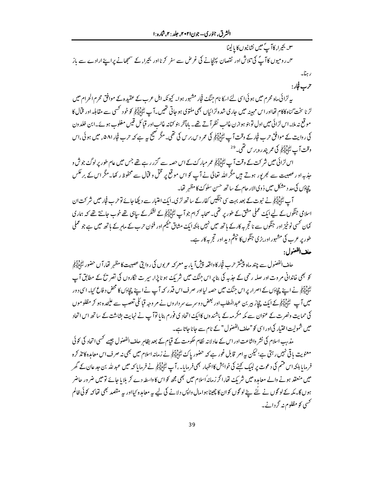٣- بحيراء كاآپٌ ميں نشانيوں كا يالينا <sup>م</sup>ا۔رومیوں کا آپؐ کی تلاش اور نقصان پہنچانے کی غرض سے سفر کرنا اور بھیراء کے سمجھانے پراپنے ارادے سے باز رہنا۔

حرب فجار:

بیہ لڑائی ماہ محرم میں ہو ئی اسی لئے ا<sub>سک</sub>ا نام جنگ فجار مشہور ہوا۔ کیونکہ اہل عرب کے عقیدہ کے موافق محرم الحرام میں لڑ ناسخت گناہ کاکام تھااور اس مہینہ میں جاری شدہ لڑائیاں بھی ملتوی ہو جاتی تھیں۔آ پ لٹائل آئی کو خود کھیں سے مقابله اور قمال کا موقع نه ملا۔اس لڑائی میں اول تو بنو ہوازن غالب نظر آتے تھے۔ پامآخر بنو کنانہ غالب اور قبائل قیس مغلوب ہوئے۔ابن خلد ون کی روایت کے موافق حرب فجارکے وقت آپ لٹپٹاتیوں کی عمر دیں برس کی تھی۔ مگر صحیح بیہ ہے کہ حرب فجار ۵۸۱، میں ہوئی اس وقت آ ب الأوليّ في عمر يندره برس تھي۔<sup>29</sup>

اس لڑائی میں شرکت کے وقت آپ لٹاؤالیّنِی عمر مبارکٹ کے اس حصہ سے گزر رہے تھے جس میں عام طور پر لوگٹ جوش و جذبہ او رعصبیت سے بھر پور ہوتے ہیں مگر اللہ تعالیٰ نے آپ کو اس موقع پر قتل و قبال سے محفوظ رکھا۔مگر اس کے بر عکس چادَں کی مد د مشکل میں ذوی الار حام کے ساتھ حسن سلوک کا مظہر تھا۔

آپ ﷺ نے نبوت کے بعد بہت سی جنگیں کفارکے ساتھ لڑی۔ایک اعتبار سے دیکھا جائے توحرب فجار میں شرکت ان اسلامی جنگوں کے لیے ایک عملی مثق کے طور پر تھی۔صحابہ کرام جو آپ لٹاٹیاتیکی کے لشکر کے سپاہی تھے خوب جانتے تھے کہ ہماری کمان <sup>کس</sup>ی نوخیز اور جنگوں سے ناتج یہ کارکے ہاتھ میں نہیں ہلکہ ایک مشاق حکیم اور فنون حرب کے ماہر کے ہاتھ میں ہے جو عملی طور پر عرب کی مشہور اور بڑی جنگوں کا حپثم دید اور تجربہ کار ہے۔

حلف الفضول:

حلف الفضول سے چند ماہ پیشتر حرب فجار کا داقعہ پیش آیا، بیہ معر کہ عربوں کی روایتی عصبیت کا مظہر تھا، آ ں حضور لتَأْثِيلَتِهِمْ کو بھی خاندانی مروت اور صلہ رحمی کے جذبہ کی بنا پر اس جنگ میں شریک ہو نا پڑا، سیر ت نگاروں کی تصر تکے کے مطابق آپ الدون ہے۔<br>سُوْبِالِیۡبِلِیۡ نے اپنے چچادَں کے اصرار پر اس جنگٹ میں حصہ لیااور صرف اس قدر کہ آپ نے اپنے چچادَں کا محض د فاع کیا۔ اسی دور میں آپ لٹی پالی کی ایک چیاز ہیر بن عبد المطلب اور بعض دوسرے سر داروں نے مر وجہ قبائلی تعصب سے علیحدہ ہو کر مظلو موں کی حمایت ونصرت کے عنوان سے مکہ مکر مہ کے باشندوں کاایک اتحاد کی فورم بنایا توآپ نے نہایت بشاشت کے ساتھ اس اتحاد میں شمولیت اختیار کی اور اسی کو "حلف الفضول" کے نام سے جانا جاتا ہے۔

مذہب اسلام کی نشر وانثاعت اور اس کے عادلانہ نظام حکومت کے قیام کے بعد بظاہرِ حلف الفصول جیسے کسی اتحاد کی کوئی معنویت پاقی نہیں رہتی ہے؛لیکن ہہ امر قابل غور ہے کہ حضور پاک اتَّا اللَّهِ نے زمانہ اسلام میں بھی نہ صرف اس معامدہ کا تذ کرہ فرمایا ہلکہ اس قسم کی دعوت پر لبیک کہنے کی خواہش کااظہار بھی فرمایا۔ ،آپ لٹی ایک ایک ایک کے میں عبد للہ بن حد عان کے گھر میں منعقد ہونے والے معاہدہ میں شریک تھا،اگر زمانہ اسلام میں بھی مجھ کواس کا داسطہ دے کر بلایا جائے تو میں ضرور حاضر ہوں گا۔ مکہ کے لو گوں نے لُٹے پیۓ لو گوں کوان کا چھینا ہوامال واپس دلانے کی لیے پہ معاہدہ کیااور پہ مقصد بھی تھا کہ کوئی ظالم <sup>کس</sup>ی کو مظلوم نہ گردانے۔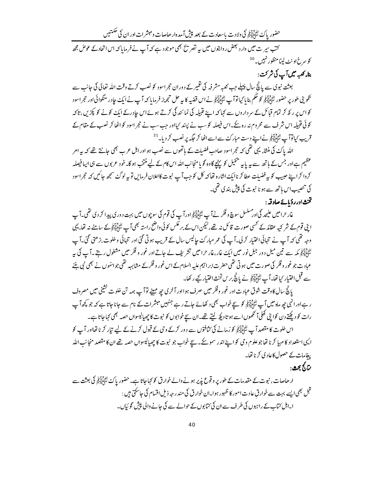حضور پاک لٹپڈا کر کی ولادت باسعادت کے بعد پیش آمدہ ارھاصات ومبشرات اور ان کی حکمتیں

کتب سیر ت میں وارد لبھض روایتوں میں پیر تصریح بھی موجود ہے کہ آپ نے فرمایا کہ اس اتحاد کے عوض مجھ کو سرخ اونٹ لینامنظور نہیں۔<sup>30</sup> بناء كعبه ميں آپ كى شركت :

بعثت نبوی سے پانچ سال پہلے جب کعبہ مشرفہ کی تقمیر کے دوران حجراسود کو نصب کرتے وقت اللہ تعالیٰ کی جانب سے تكويني طور پر حضور ٿئي ٿيڙا کي محكم بنايا گيا توآپ ٿئي ٿيڙلي نے اس قضيہ کا بير حل تجويز فرمايا كہ آپ نے ايك حادر منگوائي اور حجراسود کواس پر ر کھ کر تمام قیائل کے سر داروں سے کہا کہ اپنے قبیلہ کی نمائندگی کرتے ہوئے اس جادرکے ایک کونے کو پکڑیں ہتاکہ کوئی قبیلہ اس شرف سے محروم نہ رہ کے۔اس فیصلہ کو سب نے پسند کیااور جب سب نے حجر اسود کو اٹھا کر نصب کے مقام کے قریب کیاتوآپ لٹائلاتیل نے اپنے دست مبارکٹ سے اسے اٹھا کر جگہ پر نصب کر دیا۔<sup>31</sup>

اللہ پاک کی منشاء یہی تھی کہ حجراسود صاحب فضبلت کے ہاتھوں سے نصب ہو اور اہل عرب بھی جانتے تھے کہ یہ امر عظیم ہےاور جس کے ہاتھ سے بیریابیہ پنجیل کو پہنچے گاوہ گویا منجانب اللہ اس کام کے لیے منتخب ہو گا۔خود عربوں سے ہی ایپا فیصلہ کروا کراپنے حبیب کو بہ فضیلت عطا کرناایک اشارہ تھاکہ کل کو جب آپ نبوت کااعلان فرمایں تو بہ لوگٹ سمجھ جائیں کہ حجراسود کی تنصیب اس ہاتھ سے ہو نا نبوت کی پیش بند ی تھی۔

## تخنث اور رؤیائے صادقہ :

غار حرامیں علیحد گی اور مسلسل سوچ و فکر نے آپ اتّٰہ ایّٰہ اور آپ کی قوم کی سوچوں میں بہت د وری پیدا کر دی تھی۔آپ ا بنی قوم کے شر کیہ عقائد کے کسی صورت قائل نہ تھے،لیکن اس کے بر عکس کوئی داضح راستہ بھی آپ لٹکچالیج کے سامنے نہ تھا، یہی وجہ تھی کہ آپ نے تنہائی اختیار کرلی۔آپ کی عمر مبارکٹ حالیس سال کے قریب ہوتی گئی اور تنہائی و خلوت بڑھتی گئی۔آپ لَّےُ اِللّٰہِ کِمَد سے تین میل دور جبل نور میں ایک غار،غار حرامیں تشریف لے جاتے اور غور و فکر میں مشغول رہتے ۔آ کی یہ عباد ت جو غور و فکر کی صورت میں ہو تی تھی حضرت ابرا ہیم علیہ السلام کے اس غور و فکرکے مشابہہ تھی جوائنوں نے بھی نبی بننے سے قبل اختیار کیا تھا۔آپ ﷺ نے پانچ برس تخث اختیار کیے رکھا۔

یانچُ سال کا وقت شوق عبادت اور غور وفکر میں صرف ہوااور آخر <sub>کی چھ</sub> مہینے توآ پ ہمہ تن خلوت نشینی میں مصروف ر ہےاور انہی جھ ماہ میں آپ ﷺ کو سچے خواب بھی د کھائے جاتے رہے جنہیں مبشرات کے نام سے جانا جاتا ہے کہ جو کچھ آپ رات کو دیکھتے دن کوا بی کھلا آ تکھوں اسے ہو تا دیکھ لیتے تھے۔ان سیچ خوابوں کو نبوت کا چھپالیسواں حصہ بھی کہاجاتا ہے۔

اس خلوت کا مقصد آپ لٹائیاتیو کو زمانے کی کثافتوں سے دور کرکے وی کے قبول کرنے کے لیے تیار کرنا تھااور آپ کو اليي استعداد كا مہيا كرنا تھاجو علوم وحي كو اپنے اندر سمو يحے ـ سيچ خواب جو نبوت كا چھيإليسواں حصه تھے ان كا مقصد منجانب الله یبغامات کے حصول کاعاد کی کرنا تھا۔

نٽائج بحث:

ار حاصات ، نبوت کے مقدمات کے طور پر وقوع پذیر ہونے والے خوارق کو کہاجاتا ہے۔حضور پاک اﷺ کی بعثت سے قبل بھی ایسے بہت سے خوارق عادت امور کا ظہور ہوا۔ان خوارق کی مندر جہ ذیل اقسام کی جاسکتی ہیں : ا۔اہل کتاب کے راہبوں کی طرف سے ان کی کتابوں کے حوالے سے کی جانے والی پیش گو ئیاں۔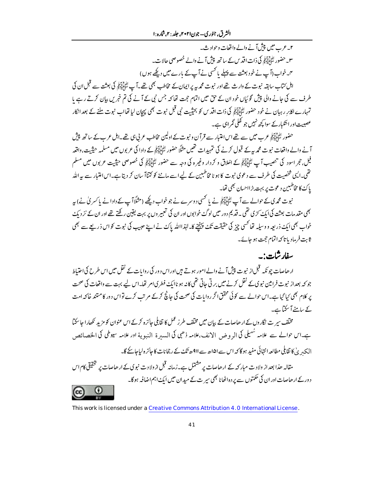۲۔ عرب میں پپش آنے والے واقعات وحوادث۔ ٣۔ حضور لِتَأْلِيَہِ کِی ذاتِ اقد س کے ساتھ پیش آنے والے خصوصی حالات۔ ۳۔خواب (آپ نے خود بعثت سے پہلے یا <sup>کس</sup>ی نے آپ کے بارے میں دیکھے ہوں) اہل کتاب سابقہ نبوت کے وارث تھے اور نبوت محمدیہ پر ایمان کے مخاطب بھی تھے۔آپ لٹاپایہ کی بعثت سے قبل ان کی طرف سے کی جانے والی پیش گوئیاں خود ان کے حق میں اتمام حجت تھا کہ جس نبی کے آنے کی تم خبریں بیان کرتے رہے یا تمہارے اکابر رہیان نے خود حضور ﷺ کی ذات اقد س کو بحیثیت نبی قبل نبوت بھی پہجان لیا تھااپ نبوت ملنے کے بعد انکار عصبیت اور ائتکبار کے سوا کچھ نہیں جو کھلی گمراہی ہے۔

حضور لٹاَبِلِآبِکی عرب میں سے تھے اس اعتبار سے قرآن و نبوت کے اولین مخاطب عربی ہی تھے۔اہل عرب کے ساتھ پیش آنے والے واقعات نبوت محمد یہ کے قبول کرنے کی تمہیدات تھیں مثلاً حضور لٹائلاتی کے دادا کی عربوں میں مسلمہ حیثیت، واقعہ فیل،حجر اسود کی تنصیب آپ لٹا ایکڑ کے اخلاق و کردار وغیرہ کی وجہ سے حضور لٹا ایکڑ کی خصوصی حیثیت عربوں میں مسلم تھی۔ایسی شخصیت کی طرف سے دعوی نبوت کا ہو نامخاطبین کے لیے اسے ماننے کو کتناآ سان کر دیتا ہے۔اس اعتیار سے بہ الله پاک کا مخاطبین د عوت پر بہت بڑااحسان بھی تھا۔

نبوت محمدی کے حوالے سے آپ لٹائلینی نے یا تھی دوسرے نے جو خواب دیکھے (مثلاً آپ کے دادا نے پاکسری کے بابیہ بھی مقدمات بعثت کی ایک سڑی تھی۔ قدیم دور میں لوگ خواہوں اور ان کی تعبیر وں پر بہت یقین رکھتے تھے اور ان کے نز دیک خواب بھی ایک ذریعہ و وسیلہ تھا کسی چیز کی حقیقت تک پہنچنے کا۔لہٰذااللہ پاک نے اپنے حبیب کی نبوت کواس ذریعے سے بھی ثابت فرماد باتا كه اتمام حجت ہو جائے۔

# سفارشات:۔

ارھاصات جو نکہ قبل از نبوت پیش آنے والےامور ہوتے ہیں اوراس دور کی روایات کے نقل میں اس طرح کی احتیاط جو کہ بعداز نبوت فرامین نبو ک کے نقل کرنے میں بر تی جاتی تھی کانہ ہو ناایک فطر کیام تھا۔اس لیے بہت سے واقعات کی صحت یر کلام بھی کیا گیا ہے۔اس حوالے سے کوئی محقق اگر روایات کی صحت کی جانچ کرکے مرتب کرے تواس دور کا متند خاکہ امت کے سامنے آ سکتاہے۔

مختلف سر ت نگاروں کے ارحاصات کے بیان میں مختلف طر ز عمل کا تقابلی جائزہ کرکے اس عنوان کو مزید نکھارا جا سکتا ہے۔اس حوالے سے علامہ سُہلی کی الر و ض الانف،علامہ ذھبی کی السدرۃ النبو پۃ اور علامہ سیوطی کی الخصائص البکہ بے' کا تقابلی مطالعہ انتہائی مفید ہو گا کہ اس سے ا۱۵ھ سے ا9ھ تک کے رچانات کا جائز ہ لیا جائے گا۔

مقالہ حذا بعد از ولادت مبار کہ کے ارحاصات پر مشتمل ہے۔زمانہ قبل ازولادت نبو پی کے ارحاصات پر تحقیقی کام اس د درکے ار ھاصات اور ان کی حکمتوں سے بر د ہ اٹھانا بھی سر ت کے میدان میں ایک اہم اضافہ ہو گا۔ (cc)

This work is licensed under a Creative Commons Attribution 4.0 International License.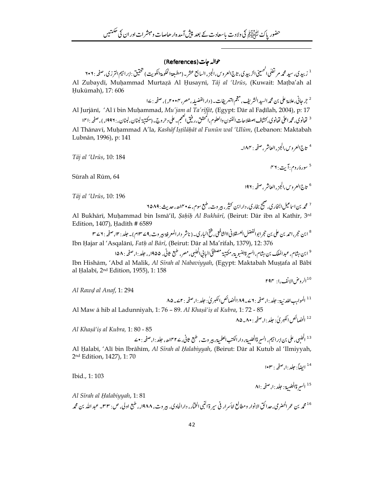## حوالہ جات (References)

<sup>1</sup> زبيدي، سيد محمه مرتضلي الحسيني الزبيدي، تاج العروس، الجزء السابع عشر \_ (مطبعة الحكومة الكويت ) تحقيق : ابراجيم الترزي، صفحه : ٢٠٢ Al Zubaydī, Muhammad Murtazā Al Ḥusaynī, Tāj al 'Urūs, (Kuwait: Mațba'ah al Hukūmah), 17: 606

<sup>2</sup> جرجانی،علامة علی بن محم*د السيد الشريف ، مجم* التعريفات ـ ( دار الفضيله ، مصر ، ٢٠٠٣ء ) ، صفحه : ١٤<br>Al Jurjānī, 'Al ī bin Muḥammad*, Mu'jam al Ta'rīfāt,* (Egypt: Dār al Faḍīlah, 2004), p: 17 <sup>3</sup> تفانوي, محمه اعلى تفانوي, كشاف اصطلاحات الفنون والعلوم,المحقق,رفيق العحم- على دحروج- (مكتبة لبنان, لبنان, : ۱۹۹۶ء), صفحه : ۱۴۱ Al Thānavī, Muḥammad A'la, Kashāf Iṣṭilāḥāt al Funūn wal 'Ulūm, (Lebanon: Maktabah Lubnān, 1996), p: 141

Tāj al 'Urūs, 10: 184

<sup>5</sup> سورۀروم:آيت: ۴۶

<sup>4</sup> تاج العروس،الجزءالعاشر ،صفحه : ١٨٣\_

Sūrah al Rūm, 64

<sup>6</sup> تاج العروس،الجزءالعاشر،صفحه : ۱۹۲

Tāj al 'Urūs, 10: 196

Al Bukhārī, Muḥammad bin Ismā'īl, *Şaḥīḥ Al Bukhārī*, (Beirut: Dār ibn al Kathīr, 3<sup>rd</sup> Edition, 1407), Hadīth # 6589

<sup>8</sup> ابن حجر،احمد بن علي بن حجرابوالفضل العسقلاني االشافعي، فتح الباري\_ ( ناشر دار المعرفة بير وت،9 ∠ ١٣ سام) \_ حلد : ١٢، صفحه : ٢ ∠ ٣ Ibn Hajar al 'Asqalānī, Fath al Bārī, (Beirut: Dār al Ma'rifah, 1379), 12: 376

<sup>9</sup> ابن ہثام، عبدالملك بن ہثام،السيرةالنبوية،مكتبة مصطفىٰالباني الحلبي،مصر، طبع ثاني، ۱۹۵۵ء، جلد :ا،صفحه : ۱۵۸ Ibn Hishām, 'Abd al Malik, Al Sīrah al Nabaviyyah, (Egypt: Maktabah Mustafa al Bābī al Halabī, 2<sup>nd</sup> Edition, 1955), 1: 158

Al Rawd al Anaf, 1: 294

<sup>12</sup> الحضائص الكبر ي'· حلد ١٠ صفحه ٨٠٠\_٨۵

Al Khasā'is al Kubra, 1:80 - 85

Al Halabī, 'Alī bin Ibrāhīm, Al Sīrah al Halabiyyah, (Beirut: Dār al Kutub al 'Ilmiyyah, 2nd Edition, 1427), 1:70

Ibid., 1: 103

Al Sīrah al Halabiyyah, 1:81